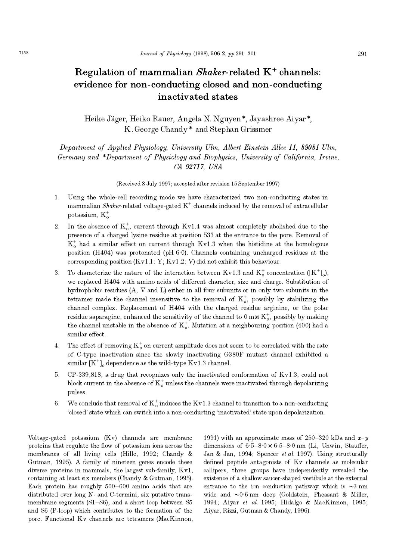# Regulation of mammalian  $Shaker$ -related  $K^+$  channels: evidence for non-conducting closed and non-conducting inactivated states

Heike J ager, Heiko Rauer, Angela N. Nguyen \*, Jayashree Aiyar \*, K. George Chandy \* and Stephan Grissmer

Department of Applied Physiology, University Ulm, Albert Einstein Allee 11, 89081 Ulm, Germany and \*Department of Physiology and Biophysics, University of California, Irvine, CA 92717, USA

(Received 8 July 1997; accepted after revision 15 September 1997)

- 1. Using the whole-cell recording mode we have characterized two non-conducting states in mammalian Shaker-related voltage-gated  $K^+$  channels induced by the removal of extracellular potassium,  $K_{\alpha}^{+}$ .
- 2. In the absence of  $K_o^+$ , current through Kv1.4 was almost completely abolished due to the presence of a charged lysine residue at position 533 at the entrance to the pore. Removal of  $K_0^+$  had a similar effect on current through Kv1.3 when the histidine at the homologous position  $(H404)$  was protonated (pH $6.0$ ). Channels containing uncharged residues at the corresponding position  $(Kv1.1: Y; Kv1.2: V)$  did not exhibit this behaviour.
- 3. To characterize the nature of the interaction between Kv1.3 and  $K_o^+$  concentration ([K<sup>+</sup>]<sub>0</sub>), we replaced H404 with amino acids of different character, size and charge. Substitution of hydrophobic residues (A, V and L) either in all four subunits or in only two subunits in the tetramer made the channel insensitive to the removal of  $K_0^+$ , possibly by stabilizing the channel complex. Replacement of H404 with the charged residue arginine, or the polar residue asparagine, enhanced the sensitivity of the channel to  $0 \text{ mm } K_0^+$ , possibly by making the channel unstable in the absence of  $K_o^+$ . Mutation at a neighbouring position (400) had a similar effect.
- 4. The effect of removing  $K_o^+$  on current amplitude does not seem to be correlated with the rate of C-type inactivation since the slowly inactivating G380F mutant channel exhibited a similar  $[K^+]$ <sub>o</sub> dependence as the wild-type Kv1.3 channel.
- 5. CP-339,818, a drug that recognizes only the inactivated conformation of Kv1.3, could not block current in the absence of  $K_o^+$  unless the channels were inactivated through depolarizing pulses.
- 6. We conclude that removal of  $K_o^+$  induces the Kv1.3 channel to transition to a non-conducting closed state which can switch into a non-conducting inactivated state upon depolarization.

Voltage-gated potassium (Kv) channels are membrane proteins that regulate the flow of potassium ions across the membranes of all living cells (Hille, 1992; Chandy & Gutman, 1995). A family of nineteen genes encode these diverse proteins in mammals, the largest sub-family, Kv1, containing at least six members (Chandy & Gutman, 1995). Each protein has roughly  $500-600$  amino acids that are distributed over long N- and C-termini, six putative transmembrane segments  $(S1-S6)$ , and a short loop between S5 and S6 (P-loop) which contributes to the formation of the pore. Functional Kv channels are tetramers (MacKinnon, 1991) with an approximate mass of 250–320 kDa and  $x-y$ dimensions of  $6.5-8.0 \times 6.5-8.0$  nm (Li, Unwin, Stauffer, Jan & Jan, 1994; Spencer et al. 1997). Using structurally defined peptide antagonists of Kv channels as molecular callipers, three groups have independently revealed the existence of a shallow saucer-shaped vestibule at the external entrance to the ion conduction pathway which is  $\sim 3 \text{ nm}$ wide and  $\sim 0.6$  nm deep (Goldstein, Pheasant & Miller, 1994; Aiyar et al. 1995; Hidalgo & MacKinnon, 1995; Aiyar, Rizzi, Gutman & Chandy, 1996).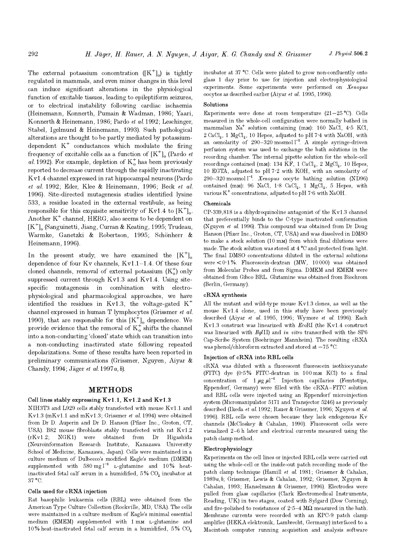The external potassium concentration  $([K^+]_0)$  is tightly regulated in mammals, and even minor changes in this level can induce significant alterations in the physiological function of excitable tissues, leading to epileptiform seizures, or to electrical instability following cardiac ischaemia (Heinemann, Konnerth, Pumain & Wadman, 1986; Yaari, Konnerth & Heinemann, 1986; Pardo et al. 1992; Leschinger, Stabel, Igelmund & Heinemann, 1993). Such pathological alterations are thought to be partly mediated by potassiumdependent  $K^+$  conductances which modulate the firing frequency of excitable cells as a function of  $[K^+]_0$  (Pardo *et* al. 1992). For example, depletion of  $K_o^+$  has been previously reported to decrease current through the rapidly inactivating Kv1.4 channel expressed in rat hippocampal neurons (Pardo et al. 1992; Eder, Klee & Heinemann, 1996; Beck et al. 1996). Site-directed mutagenesis studies identified lysine 533, a residue located in the external vestibule, as being responsible for this exquisite sensitivity of Kv1.4 to  $[K^+]_0$ . Another  $K^+$  channel, HERG, also seems to be dependent on  $[K^{\dagger}]_{\alpha}$  (Sanguinetti, Jiang, Curran & Keating, 1995; Trudeau, Warmke, Ganetzki & Robertson, 1995; Sch onherr & Heinemann, 1996).

In the present study, we have examined the  $[K^{\dagger}]_{\alpha}$ dependence of four Kv channels,  $Kv1.1-1.4$ . Of these four cloned channels, removal of external potassium  $(K_o^+)$  only suppressed current through Kv1.3 and Kv1.4. Using sitespecific mutagenesis in combination with electrophysiological and pharmacological approaches, we have identified the residues in Kv1.3, the voltage-gated  $K^+$ channel expressed in human T lymphocytes (Grissmer et al. 1990), that are responsible for this  $[K^+]_0$  dependence. We provide evidence that the removal of  $K_o^+$  shifts the channel into a non-conducting 'closed' state which can transition into a non-conducting inactivated state following repeated depolarizations. Some of these results have been reported in preliminary communications (Grissmer, Nguyen, Aiyar & Chandy, 1994; Jäger *et al.* 1997*a*, *b*).

## **METHODS**

## Cell lines stably expressing Kv1.1, Kv1.2 and Kv1.3

NIH3T3 and L929 cells stably transfected with mouse Kv1.1 and Kv1.3 (mKv1.1 and mKv1.3; Grissmer et al. 1994) were obtained from Dr D. Auperin and Dr D. Hanson (Pfizer Inc., Groton, CT, USA). B82 mouse fibroblasts stably transfected with rat Kv1.2 (rKv1.2; NGK1) were obtained from Dr Higashida (Neuroinformation Research Institute, Kanazawa University School of Medicine, Kanazawa, Japan). Cells were maintained in a culture medium of Dulbecco's modified Eagle's medium (DMEM) supplemented with 580 mg  $l^{-1}$  L-glutamine and 10% heatinactivated fetal calf serum in a humidified,  $5\%$  CO<sub>2</sub> incubator at 37 °C.

## Cells used for cRNA injection

Rat basophilic leukaemia cells (RBL) were obtained from the American Type Culture Collection (Rockville, MD, USA). The cells were maintained in a culture medium of Eagle's minimal essential medium (EMEM) supplemented with 1 mm L-glutamine and 10% heat-inactivated fetal calf serum in a humidified,  $5\%$  CO<sub>2</sub>

incubator at 37 °C. Cells were plated to grow non-confluently onto glass 1 day prior to use for injection and electrophysiological experiments. Some experiments were performed on Xenopus oocytes as described earlier (Aiyar et al. 1995, 1996).

# Solutions

Experiments were done at room temperature  $(21-25 \degree C)$ . Cells measured in the whole-cell configuration were normally bathed in mammalian  $\mathrm{Na}^+$  solution containing (mM): 160 NaCl, 4.5 KCl,  $2 \text{ CaCl}_2$ , 1 MgCl<sub>2</sub>, 10 Hepes, adjusted to pH 7<sup>-4</sup> with NaOH, with an osmolarity of 290-320 mosmol  $l^{-1}$ . A simple syringe-driven perfusion system was used to exchange the bath solutions in the recording chamber. The internal pipette solution for the whole-cell recordings contained (mM): 134 KF, 1 CaCl<sub>2</sub>, 2 MgCl<sub>2</sub>, 10 Hepes, 10 EGTA, adjusted to pH 7·2 with KOH, with an osmolarity of 290-320 mosmol  $\vert$ <sup>-1</sup>. *Xenopus* oocyte bathing solution (ND96) contained (mM): 96 NaCl, 1·8 CaCl<sub>2</sub>, 1 MgCl<sub>2</sub>, 5 Hepes, with various  $K^+$  concentrations, adjusted to pH 7 $\cdot$ 6 with NaOH.

## Chemicals

CP-339,818 is a dihydroquinoline antagonist of the Kv1.3 channel that preferentially binds to the C-type inactivated conformation (Nguyen et al. 1996). This compound was obtained from Dr Doug Hanson (Pfizer Inc., Groton, CT, USA) and was dissolved in DMSO to make a stock solution  $(10 \text{ mm})$  from which final dilutions were made. The stock solution was stored at 4 °C and protected from light. The final DMSO concentrations diluted in the external solutions were  $\lt 0.1\%$ . Fluorescein-dextran (MW, 10000) was obtained from Molecular Probes and from Sigma. DMEM and EMEM were obtained from Gibco BRL. Glutamine was obtained from Biochrom (Berlin, Germany).

#### cRNA synthesis

All the mutant and wild-type mouse Kv1.3 clones, as well as the mouse Kv1.4 clone, used in this study have been previously described (Aiyar et al. 1995, 1996; Wymore et al. 1996). Each Kv1.3 construct was linearized with EcoRI (the Kv1.4 construct was linearized with BalII) and in vitro transcribed with the SP6 Cap-Scribe System (Boehringer Mannheim). The resulting cRNA was phenol/chloroform extracted and stored at  $-75$  °C.

## Injection of cRNA into RBL cells

cRNA was diluted with a fluorescent fluorescein isothiocyanate (FITC) dye  $(0.5\%$  FITC-dextran in 100 mm KCl) to a final concentration of  $1 \mu g \mu l^{-1}$ . Injection capillaries (Femtotips, Eppendorf, Germany) were filled with the cRNAFITC solution and RBL cells were injected using an Eppendorf microinjection system (Micromanipulator 5171 and Transjector 5246) as previously described (Ikeda et al. 1992; Rauer & Grissmer, 1996; Nguyen et al. 1996). RBL cells were chosen because they lack endogenous Kv channels (McCloskey & Cahalan, 1990). Fluorescent cells were visualized 2-6 h later and electrical currents measured using the patch clamp method.

### Electrophysiology

Experiments on the cell lines or injected RBL cells were carried out using the whole-cell or the inside-out patch recording mode of the patch clamp technique (Hamill et al. 1981; Grissmer & Cahalan, 1989a, b; Grissmer, Lewis & Cahalan, 1992; Grissmer, Nguyen & Cahalan, 1993; Hanselmann & Grissmer, 1996). Electrodes were pulled from glass capillaries (Clark Electromedical Instruments, Reading, UK) in two stages, coated with Sylgard (Dow Corning), and fire-polished to resistances of  $2.5-4$  M $\Omega$  measured in the bath. Membrane currents were recorded with an EPC\_9 patch clamp amplifier (HEKA elektronik, Lambrecht, Germany) interfaced to a Macintosh computer running acquisition and analysis software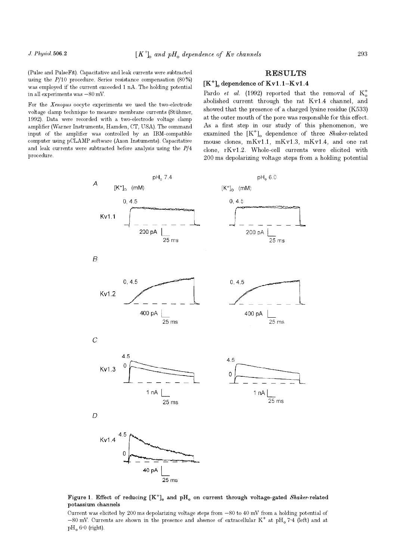(Pulse and PulseFit). Capacitative and leak currents were subtracted using the  $P/10$  procedure. Series resistance compensation  $(80\%)$ was employed if the current exceeded 1 nA. The holding potential in all experiments was  $-80$  mV.

For the Xenopus oocyte experiments we used the two-electrode voltage clamp technique to measure membrane currents (St uhmer, 1992). Data were recorded with a two-electrode voltage clamp amplifier (Warner Instruments, Hamden, CT, USA). The command input of the amplifier was controlled by an IBM-compatible computer using pCLAMP software (Axon Instuments). Capacitative and leak currents were subtracted before analysis using the  $P/4$ procedure.

# RESULTS

# $[K^+]$ <sub>o</sub> dependence of  $Kv1.1-Kv1.4$

Pardo *et al.* (1992) reported that the removal of  $K_o^+$ abolished current through the rat Kv1.4 channel, and showed that the presence of a charged lysine residue (K533) at the outer mouth of the pore was responsible for this effect. As a first step in our study of this phenomenon, we examined the  $[K^+]$ <sub>o</sub> dependence of three *Shaker-related* mouse clones, mKv1.1, mKv1.3, mKv1.4, and one rat clone, rKv1.2. Whole-cell currents were elicited with 200 ms depolarizing voltage steps from a holding potential



Figure 1. Effect of reducing  $[K^+]_0$  and  $pH_0$  on current through voltage-gated Shaker-related potassium channels

Current was elicited by 200 ms depolarizing voltage steps from  $-80$  to  $40$  mV from a holding potential of  $-80$  mV. Currents are shown in the presence and absence of extracellular K<sup>+</sup> at pH<sub>0</sub>7·4 (left) and at  $pH<sub>o</sub> 6.0$  (right).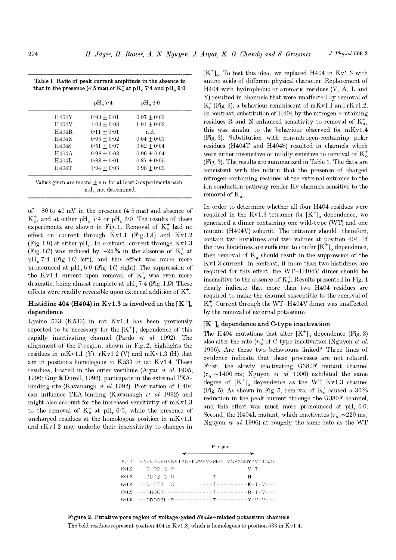| Table 1. Ratio of peak current amplitude in the absence to<br>that in the presence (4.5 mm) of $K_0^+$ at pH <sub>0</sub> 7.4 and pH <sub>0</sub> 6.0 |  |
|-------------------------------------------------------------------------------------------------------------------------------------------------------|--|

| H404Y        | $0.93 + 0.01$ | $0.97 + 0.03$ |
|--------------|---------------|---------------|
| H404V        | $1.03 + 0.03$ | $1.01 + 0.03$ |
| H404R        | $0.11 + 0.01$ | n.d.          |
| H404N        | $0.05 + 0.02$ | $0.04 + 0.01$ |
| H404S        | $0.51 + 0.07$ | $0.62 + 0.04$ |
| H404A        | $0.98 + 0.03$ | $0.96 + 0.04$ |
| <b>H404L</b> | $0.88 + 0.01$ | $0.87 + 0.05$ |
| H404T        | $1.04 + 0.03$ | $0.98 + 0.03$ |

of  $-80$  to 40 mV in the presence  $(4.5 \text{ mm})$  and absence of  $K_o^+$ , and at either pH<sub>o</sub> 7·4 or pH<sub>o</sub> 6·0. The results of these experiments are shown in Fig. 1. Removal of  $K_o^+$  had no effect on current through Kv1.1 (Fig. 1A) and Kv1.2 (Fig. 1B) at either pH<sub>o</sub>. In contrast, current through Kv1.3 (Fig. 1C) was reduced by  $\sim 25\%$  in the absence of K<sup>+</sup> at  $pH<sub>o</sub>7·4$  (Fig. 1C, left), and this effect was much more pronounced at  $pH_0 6.0$  (Fig. 1C, right). The suppression of the Kv1.4 current upon removal of  $K_0^+$  was even more dramatic, being almost complete at  $\text{pH}_0$  7·4 (Fig. 1D). These effects were readily reversible upon external addition of  $K^+$ .

# Histidine 404 (H404) in Kv1.3 is involved in the  $[K^+]$ . dependence

Lysine 533 (K533) in rat Kv1.4 has been previously reported to be necessary for the  $[K^+]_0$  dependence of this rapidly inactivating channel (Pardo et al. 1992). The alignment of the P-region, shown in Fig. 2, highlights the residues in mKv1.1 (Y),  $rKv1.2$  (V) and mKv1.3 (H) that are in positions homologous to K533 in rat Kv1.4. These residues, located in the outer vestibule (Aiyar et al. 1995, 1996; Guy & Durell, 1996), participate in the external TEAbinding site (Kavanaugh et al. 1992). Protonation of H404 can influence TEA-binding (Kavanaugh et al. 1992) and might also account for the increased sensitivity of  $mKv1.3$ to the removal of  $K_0^+$  at pH<sub>0</sub> 6.0, while the presence of uncharged residues at the homologous position in mKv1.1 and rKv1.2 may underlie their insensitivity to changes in

 $[K^+]$ . To test this idea, we replaced H404 in Kv1.3 with amino acids of different physical character. Replacement of H404 with hydrophobic or aromatic residues (V, A, L and Y) resulted in channels that were unaffected by removal of  $K_o^+$  (Fig. 3), a behaviour reminiscent of mKv1.1 and rKv1.2. In contrast, substitution of H404 by the nitrogen-containing residues R and N enhanced sensitivity to removal of  $K_0^+$ ; this was similar to the behaviour observed for mKv1.4 (Fig. 3). Substitution with non-nitrogen-containing polar residues (H404T and H404S) resulted in channels which were either insensitive or mildly sensitive to removal of  $K_o^+$ (Fig. 3). The results are summarized in Table 1. The data are consistent with the notion that the presence of charged nitrogen-containing residues at the external entrance to the ion conduction pathway render Kv channels sensitive to the removal of  $K_0^+$ .

In order to determine whether all four H404 residues were required in the Kv1.3 tetramer for  $[K^+]_0$  dependence, we generated a dimer containing one wild-type (WT) and one mutant (H404V) subunit. The tetramer should, therefore, contain two histidines and two valines at position 404. If the two histidines are sufficient to confer  $[K^+]_0$  dependence, then removal of  $K_0^+$  should result in the suppression of the Kv1.3 current. In contrast, if more than two histidines are required for this effect, the WT-H404V dimer should be insensitive to the absence of  $K_o^+$ . Results presented in Fig. 4 clearly indicate that more than two H404 residues are required to make the channel susceptible to the removal of  $K_{\rm o}^+$ . Current through the WT-H404V dimer was unaffected by the removal of external potassium.

## $[K^+]$ <sub>o</sub> dependence and C-type inactivation

The H404 mutations that alter  $[K^+]_0$  dependence (Fig. 3) also alter the rate  $(\tau_h)$  of C-type inactivation (Nguyen *et al.*) 1996). Are these two behaviours linked? Three lines of evidence indicate that these processes are not related. First, the slowly inactivating G380F mutant channel  $(\tau_h, \sim 1400 \text{ ms}; \text{Nguyen } et \text{ al. } 1996) \text{ exhibited the same}$ degree of  $[K^+]$  dependence as the WT Kv1.3 channel (Fig. 5). As shown in Fig. 5, removal of  $K_o^+$  caused a 30% reduction in the peak current through the G380F channel, and this effect was much more pronounced at  $pH_0$  6.0. Second, the H404L mutant, which inactivates  $(\tau_h, \sim 220 \text{ ms};$ Nguyen et al. 1996) at roughly the same rate as the WT

| P-region                                                                        |
|---------------------------------------------------------------------------------|
| $\overbrace{\hspace{27mm}}^{ \overbrace{\hspace{25mm}}^{ \hspace{25mm}}$        |
| Kv1.1 EAEEAESHFSSIPDAFWWAVVSMTTVGYGDMYPVTIGGK                                   |
|                                                                                 |
| $Kv1.3 - -DDPS - G - N - - - - - - - - - - - - - - - - - - - - - - - - - - - -$ |
|                                                                                 |
| $Kv1.5 - -DNOGT---------T------P---R-1-V---$                                    |
| Kv1.6 --DDDDSL-P-----------T---------Y-M-V---                                   |

# Figure 2. Putative pore region of voltage-gated Shaker-related potassium channels

The bold residues represent position 404 in Kv1.3, which is homologous to position 533 in Kv1.4.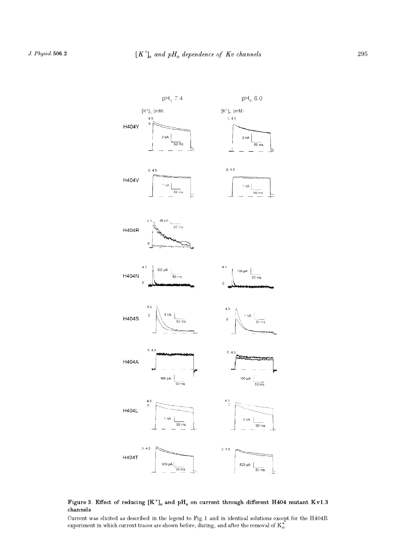

## Figure 3. Effect of reducing  $[K^+]_0$  and  $pH_0$  on current through different H404 mutant Kv1.3 channels

Current was elicited as described in the legend to Fig. 1 and in identical solutions except for the H404R experiment in which current traces are shown before, during, and after the removal of  $K_0^+$ .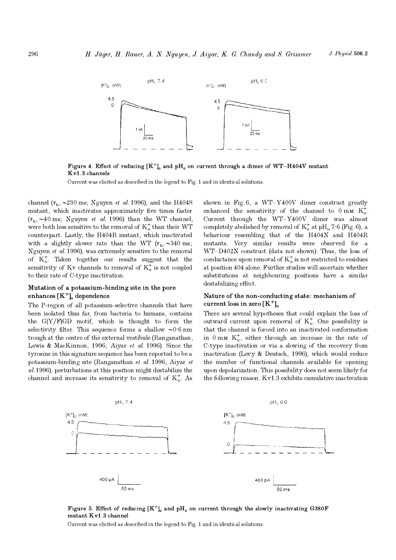

Figure 4. Effect of reducing  $[K^+]$  and pH<sub>0</sub> on current through a dimer of WT-H404V mutant Kv1.3 channels

Current was elicited as described in the legend to Fig. 1 and in identical solutions.

channel ( $\tau_{\rm h}$ ,  $\sim$ 230 ms; Nguyen *et al.* 1996), and the H404S mutant, which inactivates approximately five times faster  $(\tau_h, \sim 40 \text{ ms}; \text{Nguyen } et \text{ al. } 1996)$  than the WT channel, were both less sensitive to the removal of  $K_o^+$  than their WT counterpart. Lastly, the H404R mutant, which inactivated with a slightly slower rate than the WT  $(\tau_h, \sim 340 \text{ ms};$ Nguyen et al. 1996), was extremely sensitive to the removal of  $K_{o}^{+}$ . Taken together our results suggest that the sensitivity of Kv channels to removal of  $K_0^+$  is not coupled to their rate of C-type inactivation.

# Mutation of a potassium-binding site in the pore enhances  $[K^+]$ <sub>o</sub> dependence

The P-region of all potassium-selective channels that have been isolated thus far, from bacteria to humans, contains the  $G(Y/F)GD$  motif, which is thought to form the selectivity filter. This sequence forms a shallow  $\sim 0.6$  nm trough at the centre of the external vestibule (Ranganathan, Lewis & MacKinnon, 1996; Aiyar et al. 1996). Since the tyrosine in this signature sequence has been reported to be a potassium-binding site (Ranganathan et al. 1996; Aiyar et al. 1996), perturbations at this position might destabilize the channel and increase its sensitivity to removal of  $K_0^*$ . As shown in Fig. 6, a WT-Y400V dimer construct greatly enhanced the sensitivity of the channel to  $0 \text{ mm K}^+_{\circ}$ . Current through the  $WT-Y400V$  dimer was almost completely abolished by removal of  $K_o^+$  at pH<sub>o</sub> 7·6 (Fig. 6), a behaviour resembling that of the H404N and H404R mutants. Very similar results were observed for a WT-D402N construct (data not shown). Thus, the loss of conductance upon removal of  $K_o^+$  is not restricted to residues at position 404 alone. Further studies will ascertain whether substitutions at neighbouring positions have a similar destabilizing effect.

# Nature of the non-conducting state: mechanism of current loss in zero  $[K^+]$

There are several hypotheses that could explain the loss of outward current upon removal of  $K_0^+$ . One possibility is that the channel is forced into an inactivated conformation in  $0 \text{ mm } K_0^+$ , either through an increase in the rate of C\_type inactivation or via a slowing of the recovery from inactivation (Levy & Deutsch, 1996), which would reduce the number of functional channels available for opening upon depolarization. This possibility does not seem likely for the following reason. Kv1.3 exhibits cumulative inactivation



Figure 5. Effect of reducing  $[K^+]_0$  and  $pH_0$  on current through the slowly inactivating G380F mutant Kv1.3 channel

Current was elicited as described in the legend to Fig. 1 and in identical solutions.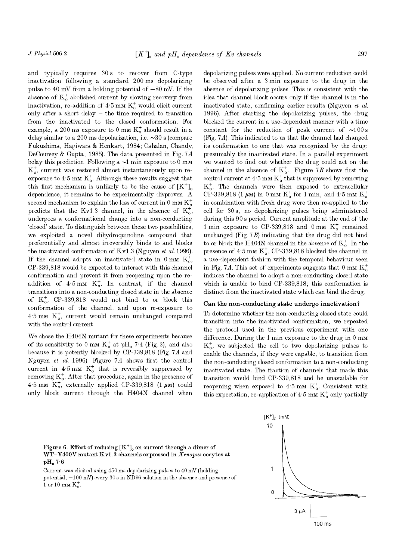and typically requires  $30 s$  to recover from C-type inactivation following a standard 200 ms depolarizing pulse to 40 mV from a holding potential of  $-80$  mV. If the absence of  $K_o^+$  abolished current by slowing recovery from inactivation, re-addition of  $4.5 \text{ mm K}^+$  would elicit current only after a short delay  $-$  the time required to transition from the inactivated to the closed conformation. For example, a 200 ms exposure to 0 mm  $K_o^+$  should result in a delay similar to a 200 ms depolarization, i.e.  $\sim 30$  s (compare Fukushima, Hagiwara & Henkart, 1984; Cahalan, Chandy, DeCoursey & Gupta, 1985). The data presented in Fig. 7A belay this prediction. Following a  $\sim$ 1 min exposure to 0 mm  $K_o^+$ , current was restored almost instantaneously upon reexposure to  $4.5 \text{ mm K}^+$ . Although these results suggest that this first mechanism is unlikely to be the cause of  $[K^+]$ dependence, it remains to be experimentally disproven. A second mechanism to explain the loss of current in 0 mm  $K_o^+$ predicts that the Kv1.3 channel, in the absence of  $K_0^+$ , undergoes a conformational change into a non-conducting closed state. To distinguish between these two possibilities, we exploited a novel dihydroquinoline compound that preferentially and almost irreversibly binds to and blocks the inactivated conformation of Kv1.3 (Nguyen et al. 1996). If the channel adopts an inactivated state in  $0 \text{ mm K}^+_{0}$ , CP-339,818 would be expected to interact with this channel conformation and prevent it from reopening upon the readdition of  $4.5 \text{ mm}$  K<sup>+</sup>. In contrast, if the channel transitions into a non-conducting closed state in the absence of  $K_{\text{o}}^+$ , CP-339,818 would not bind to or block this conformation of the channel, and upon re-exposure to  $4.5 \text{ mm K}^+_0$ , current would remain unchanged compared with the control current.

We chose the H404N mutant for these experiments because of its sensitivity to 0 mm  $K_0^+$  at pH<sub>0</sub> 7<sup>-4</sup> (Fig. 3), and also because it is potently blocked by CP-339,818 (Fig. 7A and Nguyen et al. 1996). Figure 7A shows first the control current in  $4.5 \text{ mm K}^+$  that is reversibly suppressed by removing  $K_o^+$ . After that procedure, again in the presence of 4.5 mm  $K_o^+$ , externally applied CP-339,818 (1  $\mu$ m) could only block current through the H404N channel when

depolarizing pulses were applied. No current reduction could be observed after a 3 min exposure to the drug in the absence of depolarizing pulses. This is consistent with the idea that channel block occurs only if the channel is in the inactivated state, confirming earlier results (Nguyen et al. 1996). After starting the depolarizing pulses, the drug blocked the current in a use-dependent manner with a time constant for the reduction of peak current of  $\sim 100 \text{ s}$ (Fig. 7A). This indicated to us that the channel had changed its conformation to one that was recognized by the drug: presumably the inactivated state. In a parallel experiment we wanted to find out whether the drug could act on the channel in the absence of  $K_o^+$ . Figure 7B shows first the control current at  $4.5 \text{ mm K}^+_0$  that is suppressed by removing  $K_o^+$ . The channels were then exposed to extracellular CP-339,818 (1  $\mu$ M) in 0 mM K<sup>+</sup> for 1 min, and 4·5 mM K<sup>+</sup><sub>0</sub> in combination with fresh drug were then re-applied to the cell for 30 s, no depolarizing pulses being administered during this 90 s period. Current amplitude at the end of the 1 min exposure to CP-339,818 and 0 mm  $K_o^+$  remained unchanged (Fig.  $7B$ ) indicating that the drug did not bind to or block the H404N channel in the absence of  $K_o^+$ . In the presence of  $4.5 \text{ mm K}^{\text{+}}_{\text{o}}$ , CP-339,818 blocked the channel in a use-dependent fashion with the temporal behaviour seen in Fig. 7A. This set of experiments suggests that 0 mm  $K_o^+$ induces the channel to adopt a non-conducting closed state which is unable to bind CP-339,818; this conformation is distinct from the inactivated state which can bind the drug.

#### Can the non-conducting state undergo inactivation?

To determine whether the non-conducting closed state could transition into the inactivated conformation, we repeated the protocol used in the previous experiment with one difference. During the 1 min exposure to the drug in  $0 \text{ mm}$  $K_{\alpha}^{+}$ , we subjected the cell to two depolarizing pulses to enable the channels, if they were capable, to transition from the non-conducting closed conformation to a non-conducting inactivated state. The fraction of channels that made this transition would bind CP-339,818 and be unavailable for reopening when exposed to  $4.5 \text{ mm K}^{\dagger}_{\text{o}}$ . Consistent with this expectation, re-application of  $4.5 \text{ mm K}^+$  only partially

# Figure 6. Effect of reducing  $[K^+]_0$  on current through a dimer of  $WT-Y400V$  mutant  $Kv1.3$  channels expressed in  $Xenopus$  oocytes at  $pH<sub>o</sub>$  7.6

Current was elicited using 450 ms depolarizing pulses to 40 mV (holding potential,  $-100$  mV) every 30 s in ND96 solution in the absence and presence of 1 or 10 mm  $K_o^+$ .

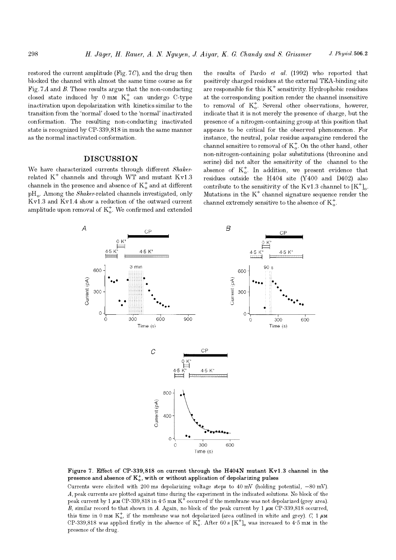restored the current amplitude (Fig.  $7C$ ), and the drug then blocked the channel with almost the same time course as for Fig. 7A and B. These results argue that the non-conducting closed state induced by  $0 \text{ mm K}^+_0$  can undergo C-type inactivation upon depolarization with kinetics similar to the transition from the 'normal' closed to the 'normal' inactivated conformation. The resulting non-conducting inactivated state is recognized by CP-339,818 in much the same manner as the normal inactivated conformation.

# **DISCUSSION**

We have characterized currents through different Shakerrelated  $K^+$  channels and through WT and mutant  $Kv1.3$ channels in the presence and absence of  $K_o^+$  and at different  $pH<sub>o</sub>$ . Among the *Shaker*-related channels investigated, only Kv1.3 and Kv1.4 show a reduction of the outward current amplitude upon removal of  $K_o^+$ . We confirmed and extended

the results of Pardo et al. (1992) who reported that positively charged residues at the external TEA-binding site are responsible for this  $K^+$  sensitivity. Hydrophobic residues at the corresponding position render the channel insensitive to removal of  $K_0^+$ . Several other observations, however, indicate that it is not merely the presence of charge, but the presence of a nitrogen-containing group at this position that appears to be critical for the observed phenomenon. For instance, the neutral, polar residue asparagine rendered the channel sensitive to removal of  $K_o^+$ . On the other hand, other non-nitrogen-containing polar substitutions (threonine and serine) did not alter the sensitivity of the channel to the absence of  $K_0^+$ . In addition, we present evidence that residues outside the H404 site  $(Y400$  and D402) also contribute to the sensitivity of the Kv1.3 channel to  $[K^+]_0$ . Mutations in the  $K^+$  channel signature sequence render the channel extremely sensitive to the absence of  $K_o^+$ .



Figure 7. Effect of CP-339,818 on current through the H404N mutant Kv1.3 channel in the presence and absence of  $K_o^*$ , with or without application of depolarizing pulses

Currents were elicited with 200 ms depolarizing voltage steps to  $40 \text{ mV}$  (holding potential,  $-80 \text{ mV}$ ). A, peak currents are plotted against time during the experiment in the indicated solutions. No block of the peak current by 1  $\mu$ M CP-339,818 in 4.5 mM K<sup>+</sup> occurred if the membrane was not depolarized (grey area). B, similar record to that shown in A. Again, no block of the peak current by  $1 \mu$ M CP-339,818 occurred, this time in 0 mm  $K_0^+$ , if the membrane was not depolarized (area outlined in white and grey). C, 1  $\mu$ M CP-339,818 was applied firstly in the absence of  $K_0^+$ . After 60 s  $[K^+]_0$  was increased to 4.5 m $\mu$  in the presence of the drug.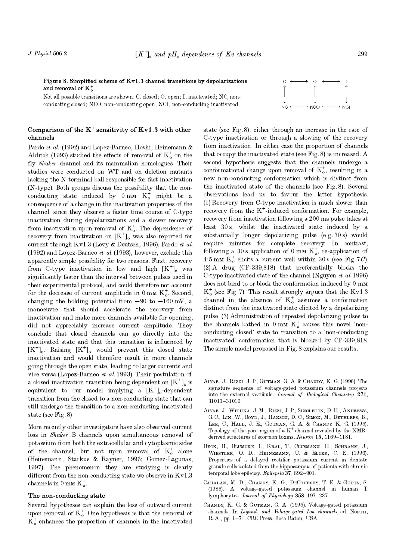Figure 8. Simplified scheme of  $Kv1.3$  channel transitions by depolarizations and removal of  $K_{\alpha}^{+}$ 

Not all possible transitions are shown. C, closed; O, open; I, inactivated; NC, nonconducting closed; NCO, non-conducting open; NCI, non-conducting inactivated.

# Comparison of the  $K^+$  sensitivity of  $Kv1.3$  with other channels

Pardo et al. (1992) and Lopez-Barneo, Hoshi, Heinemann & Aldrich (1993) studied the effects of removal of  $K_0^+$  on the fly Shaker channel and its mammalian homologues. Their studies were conducted on WT and on deletion mutants lacking the N-terminal ball responsible for fast inactivation (N-type). Both groups discuss the possibility that the nonconducting state induced by  $0 \text{ mm } K_o^+$  might be a consequence of a change in the inactivation properties of the channel, since they observe a faster time course of C-type inactivation during depolarizations and a slower recovery from inactivation upon removal of  $K_o^+$ . The dependence of recovery from inactivation on  $[K^+]$ <sub>o</sub> was also reported for current through Kv1.3 (Levy & Deutsch, 1996). Pardo et al. (1992) and Lopez-Barneo et al. (1993), however, exclude this apparently simple possibility for two reasons. First, recovery from C-type inactivation in low and high  $[K^+]_0$  was significantly faster than the interval between pulses used in their experimental protocol, and could therefore not account for the decrease of current amplitude in  $0 \text{ mm } K_o^+$ . Second, changing the holding potential from  $-90$  to  $-160$  mV, a manoeuvre that should accelerate the recovery from inactivation and make more channels available for opening, did not appreciably increase current amplitude. They conclude that closed channels can go directly into the inactivated state and that this transition is influenced by  $[K^+]_0$ . Raising  $[K^+]_0$  would prevent this closed state inactivation and would therefore result in more channels going through the open state, leading to larger currents and vice versa (Lopez-Barneo et al. 1993). Their postulation of a closed inactivation transition being dependent on  $[K^+]_0$  is equivalent to our model implying a  $[K^+]_0$ -dependent transition from the closed to a non-conducting state that can still undergo the transition to a non-conducting inactivated state (see Fig. 8).

More recently other investigators have also observed current loss in Shaker B channels upon simultaneous removal of potassium from both the extracellular and cytoplasmic sides of the channel, but not upon removal of  $K_o^+$  alone (Heinemann, Starkus & Rayner, 1996; Gomez-Lagunas, 1997). The phenomenon they are studying is clearly different from the non-conducting state we observe in  $Kv1.3$ channels in 0 mm  $K_0^+$ .

## The non-conducting state

Several hypotheses can explain the loss of outward current upon removal of  $K_0^+$ . One hypothesis is that the removal of  $K_o^+$  enhances the proportion of channels in the inactivated



- Aiyar, J., Rizzi, J. P., Gutman, G. A. & Chandy, K. G. (1996). The signature sequence of voltage-gated potassium channels projects into the external vestibule. Journal of Biological Chemistry 271, 31013-31016.
- Aiyar, J., Withka, J. M., Rizzi, J. P., Singleton, D. H., Andrews, G.C., LIN, W., BOYD, J., HANSON, D.C., SIMON, M., DETHLEFS, B., Lee, C., Hall, J. E., Gutman, G. A. & Chandy K. G. (1995). Topology of the pore-region of a  $K^+$  channel revealed by the NMRderived structures of scorpion toxins. Neuron  $15$ ,  $1169-1181$ .
- BECK, H., BLUMCKE, I., KRAL, T., CLUSMANN, H., SCHRAMM, J., Wiestler, O. D., Heinemann, U. & Elger, C. E. (1996). Properties of a delayed rectifier potassium current in dentate granule cells isolated from the hippocampus of patients with chronic temporal lobe epilepsy. Epilepsia 37, 892-901.
- Cahalan, M. D., Chandy, K. G., DeCoursey, T. E. & Gupta, S. (1985). A voltage-gated potassium channel in human T lymphocytes. Journal of Physiology 358, 197-237.
- CHANDY, K. G. & GUTMAN, G. A. (1995). Voltage-gated potassium channels. In Ligand- and Voltage-gated Ion channels, ed. NORTH, R. A., pp. 1-71. CRC Press, Boca Raton, USA.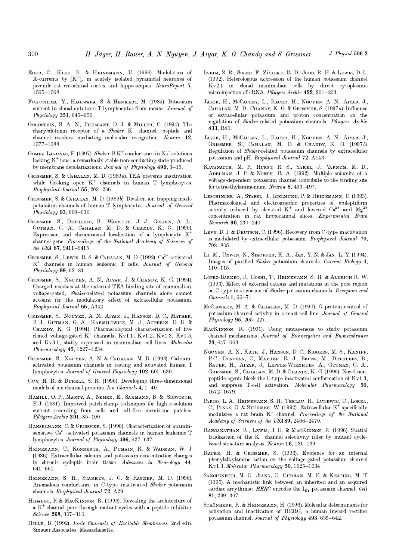- Eder, C., Klee, R. & Heinemann, U. (1996). Modulation of A-currents by  $[K^+]_0$  in acutely isolated pyramidal neurones of juvenile rat entorhinal cortex and hippocampus. NeuroReport 7, 1565-1568.
- Fukushima, Y., Hagiwara, S. & Henkart, M. (1984). Potassium current in clonal cytotoxic T lymphocytes from mouse. Journal of  $Physiology 351, 645–656.$
- Goldstein, S. A. N., Pheasant, D. J. & Miller, C. (1994). The charybdotoxin receptor of a  $Shaker$  K<sup>+</sup> channel: peptide and channel residues mediating molecular recognition. Neuron 12, 1377-1388.
- GOMEZ-LAGUNAS, F. (1997). Shaker B K<sup>+</sup> conductance in Na<sup>+</sup> solutions lacking  $K^+$  ions: a remarkably stable non-conducting state produced by membrane depolarizations. Journal of Physiology  $499, 3-15$ .
- GRISSMER, S. & CAHALAN, M. D. (1989a). TEA prevents inactivation while blocking open  $K^+$  channels in human T lymphocytes. Biophysical Journal 55, 203-206.
- GRISSMER, S. & CAHALAN, M. D. (1989b). Divalent ion trapping inside potassium channels of human T lymphocytes. Journal of General  $Physiology 93, 609–630.$
- Grissmer, S., Dethlefs, B., Wasmuth, J. J., Goldin, A. L., Gutman, G. A., Cahalan, M. D. & Chandy, K. G. (1990). Expression and chromosomal localization of a lymphocyte K channel gene. Proceedings of the National Academy of Sciences of the USA 87, 9411-9415.
- GRISSMER, S., LEWIS, R. S. & CAHALAN, M. D. (1992). Ca<sup>2+</sup>-activated K<sup>+</sup> channels in human leukemic T cells. Journal of General Physiology  $99, 63-84.$
- Grissmer, S., Nguyen, A. N., Aiyar, J. & Chandy, K. G. (1994). Charged residues at the external TEA-binding site of mammalian, voltage-gated, Shaker-related potassium channels alone cannot account for the modulatory effect of extracellular potassium. Biophysical Journal 66, A342.
- Grissmer, S., Nguyen, A. N., Aiyar, J., Hanson, D. C., Mather, R. J., Gutman, G. A., Karmilowicz, M. J., Auperin, D. D. & CHANDY, K. G. (1994). Pharmacological characterization of five cloned voltage-gated  $K^+$  channels,  $Kv1.1$ ,  $Kv1.2$ ,  $Kv1.3$ ,  $Kv1.5$ , and Kv3.1, stably expressed in mammalian cell lines. Molecular  $Pharmacology$  45, 1227-1234.
- Grissmer, S., Nguyen, A. N. & Cahalan, M. D. (1993). Calciumactivated potassium channels in resting and activated human T lymphocytes. Journal of General Physiology 102, 601-630.
- GUY, H. R. & DURELL, S. R. (1996). Developing three-dimensional models of ion channel proteins. Ion Channels  $4, 1-40$ .
- Hamill, O. P., Marty, A., Neher, E., Sakmann, B. &. Sigworth, F. J. (1981). Improved patch-clamp techniques for high-resolution current recording from cells and cell-free membrane patches.  $P$ flügers Archiv **391**, 85–100.
- Hanselmann, C. & Grissmer, S. (1996). Characterization of apaminsensitive Ca<sup>2+</sup>-activated potassium channels in human leukemic T lymphocytes. Journal of Physiology 496, 627-637.
- Heinemann, U., Konnerth, A., Pumain, R. & Wadman, W. J. (1986). Extracellular calcium and potassium concentration changes in chronic epileptic brain tissue. Advances in Neurology 44, 641-661.
- Heinemann, S. H., Starkus, J. G. & Rayner, M. D. (1996). Anomalous conductance in C-type inactivated Shaker potassium channels. Biophysical Journal 72, A29.
- Hidalgo, P. & MacKinnon, R. (1995). Revealing the architecture of a  $K^+$  channel pore through mutant cycles with a peptide inhibitor. Science 268, 307-310.
- Hille, B. (1992). Ionic Channels of Excitable Membranes, 2nd edn. Sinauer Associates, Massachusetts.
- Ikeda, S. R., Soler, F., Zühlke, R. D., Joho, R. H. & Lewis, D. L. (1992). Heterologous expression of the human potassium channel Kv2.1 in clonal mammalian cells by direct cytoplasmic microinjection of cRNA. Pflügers Archiv  $422$ ,  $201-203$ .
- J ager, H., McCauley, L., Rauer, H., Nguyen, A. N., Aiyar, J., CAHALAN, M. D., CHANDY, K. G. & GRISSMER, S. (1997a). Influence of extracellular potassium and proton concentration on the regulation of *Shaker-related* potassium channels. Pflügers Archiv 433, R40.
- J ager, H., McCauley, L., Rauer, H., Nguyen, A. N., Aiyar, J., Grissmer, S., Cahalan, M. D. & Chandy, K. G. (1997b). Regulation of Shaker-related potassium channels by extracellular potassium and pH. Biophysical Journal 72, A143.
- Kavanaugh, M. P., Hurst, R. S., Yakel, J., Varnum, M. D., ADELMAN, J. P. & NORTH, R. A. (1992). Multiple subunits of a voltage-dependent potassium channel contribute to the binding site for tetraethylammonium. Neuron  $8.493-497$ .
- Leschinger, A., Stabel, J., Igelmund, P. & Heinemann, U. (1993). Pharmacological and electrographic properties of epileptiform activity induced by elevated  $K^+$  and lowered  $Ca^{2+}$  and  $Mg^2$ concentration in rat hippocampal slices. Experimental Brain  $Research 96, 230-240.$
- Levy, D. I. & Deutsch, C. (1996). Recovery from C-type inactivation is modulated by extracellular potassium. Biophysical Journal 70, 798-805
- Li, M., Unwin, N., Stauffer, K. A., Jan, Y. N. & Jan, L. Y. (1994). Images of purified Shaker potassium channels. Current Biology 4,  $110 - 115$ .
- Lopez-Barneo, J., Hoshi, T., Heinemann, S. H. & Aldrich R. W. (1993). Effect of external cations and mutations in the pore region on C-type inactivation of Shaker potassium channels. Receptors and  $Channels 1, 66-71.$
- McCLOSKEY, M. A. & CAHALAN, M. D. (1990). G protein control of potassium channel activity in a mast cell line. Journal of General Physiology  $95, 205 - 227$ .
- MacKinnon, R. (1991). Using mutagenesis to study potassium channel mechanisms. Journal of Bioenergetics and Biomembranes 23, 647-663.
- Nguyen, A. N., Kath, J., Hanson, D. C., Biggers, M. S., Kaniff, P.C., DONOVAN, C., MATHER, R. J., BRUNS, M., DETHLEFS, B., Rauer, H., Aiyar, J., Lepple-Wienhues, A., Gutman, G. A., GRISSMER, S., CAHALAN, M. D. & CHANDY, K. G. (1996). Novel nonpeptide agents block the C-type inactivated conformation of Kv1.3, and suppress T-cell activation. Molecular Pharmacology 50, 1672-1679.
- Pardo, L. A., Heinemann, S. H., Terlau, H., Ludewig, U., Lorra, C, Pongs, O. & Stühmer, W. (1992). Extracellular  $K^+$  specifically modulates a rat brain  $K^+$  channel. Proceedings of the National  $Academy of Sciences of the USA 89, 2466-2470.$
- Ranganathan, R., Lewis, J. H. & MacKinnon, R. (1996). Spatial localization of the  $K^+$  channel selectivity filter by mutant cyclebased structure analysis. Neuron  $16$ ,  $131-139$ .
- Rauer, H. & Grissmer, S. (1996). Evidence for an internal phenylalkylamine action on the voltage-gated potassium channel Kv1.3. Molecular Pharmacology  $50$ , 1625-1634.
- Sanguinetti, M. C., Jiang, C., Curran, M. E. & Keating, M. T. (1995). A mechanistic link between an inherited and an acquired cardiac arrythmia:  $HERG$  encodes the  $I_{Kr}$  potassium channel. Cell 81, 299-307.
- Sc<mark>hönherr, R. & Heinemann, H. (1996).</mark> Molecular determinants for activation and inactivation of HERG, a human inward rectifier potassium channel. Journal of Physiology 493, 635-642.